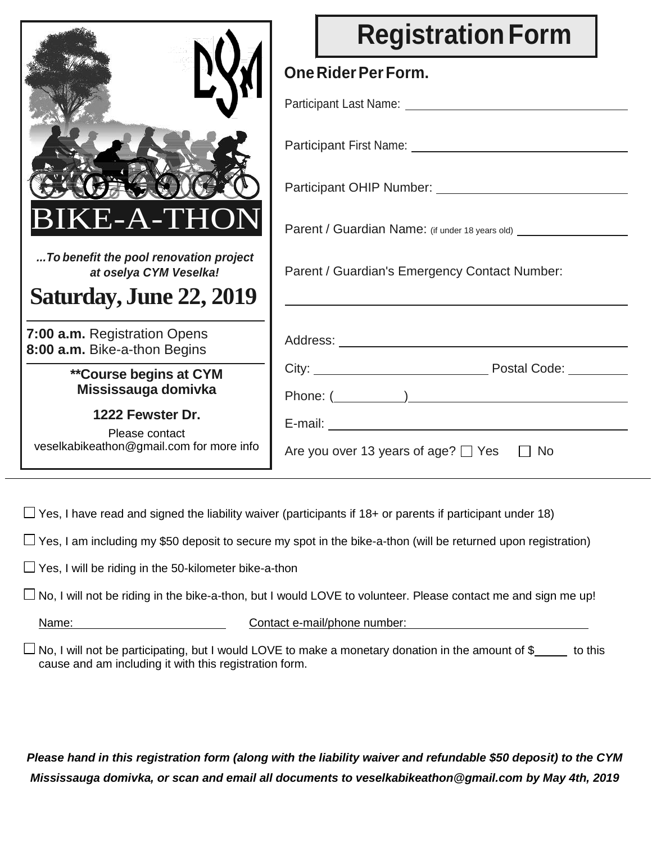|                                                                                                       | <b>Registration Form</b>                                                                                                                                                                                                      |  |  |  |
|-------------------------------------------------------------------------------------------------------|-------------------------------------------------------------------------------------------------------------------------------------------------------------------------------------------------------------------------------|--|--|--|
|                                                                                                       | One Rider Per Form.                                                                                                                                                                                                           |  |  |  |
|                                                                                                       | Participant Last Name: 2008 2014 2022 2023 2024 2022 2023 2024 2022 2023 2024 2022 2023 2024 2022 2024 2022 20                                                                                                                |  |  |  |
|                                                                                                       | Participant First Name: 2008 2014 2022 2023 2024 2022 2023 2024 2022 2023 2024 2022 2023 2024 2022 2023 2024 20                                                                                                               |  |  |  |
|                                                                                                       |                                                                                                                                                                                                                               |  |  |  |
| <b>BIKE-A-THON</b>                                                                                    | Parent / Guardian Name: (if under 18 years old) _________________                                                                                                                                                             |  |  |  |
| To benefit the pool renovation project<br>at oselya CYM Veselka!                                      | Parent / Guardian's Emergency Contact Number:                                                                                                                                                                                 |  |  |  |
| <b>Saturday, June 22, 2019</b>                                                                        |                                                                                                                                                                                                                               |  |  |  |
| 7:00 a.m. Registration Opens<br>8:00 a.m. Bike-a-thon Begins                                          |                                                                                                                                                                                                                               |  |  |  |
| <b>**Course begins at CYM</b>                                                                         | City: City: City: City: City: City: City: City: City: City: City: City: City: City: City: City: City: City: City: City: City: City: City: City: City: City: City: City: City: City: City: City: City: City: City: City: City: |  |  |  |
| Mississauga domivka<br>1222 Fewster Dr.<br>Please contact<br>veselkabikeathon@gmail.com for more info | Are you over 13 years of age? $\Box$ Yes<br><b>No</b>                                                                                                                                                                         |  |  |  |

 $\Box$  Yes, I have read and signed the liability waiver (participants if 18+ or parents if participant under 18)

 $\Box$  Yes, I am including my \$50 deposit to secure my spot in the bike-a-thon (will be returned upon registration)

Yes, I have signed  $\Box$  Yes, I will be riding in the 50-kilometer bike-a-thon

 $\Box$  No, I will not be riding in the bike-a-thon, but I would LOVE to volunteer. Please contact me and sign me up!

Name: Contact e-mail/phone number:

 $\Box$  No, I will not be participating, but I would LOVE to make a monetary donation in the amount of \$ to this cause and am including it with this registration form.

*Please hand in this registration form (along with the liability waiver and refundable \$50 deposit) to the CYM Mississauga domivka, or scan and email all documents to veselkabikeathon@gmail.com by May 4th, 2019*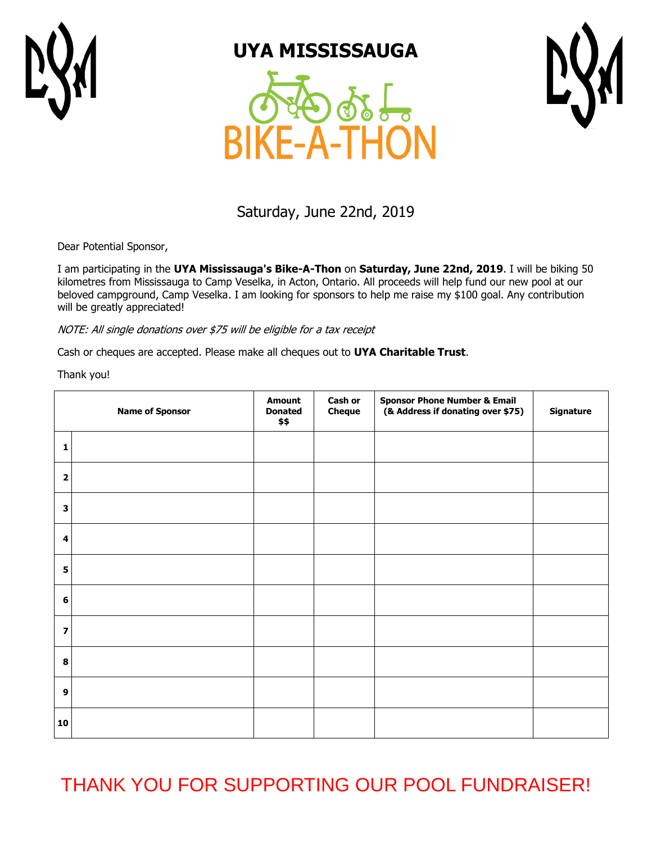

## **UYA MISSISSAUGA**





### Saturday, June 22nd, 2019

Dear Potential Sponsor,

I am participating in the **UYA Mississauga's Bike-A-Thon** on **Saturday, June 22nd, 2019**. I will be biking 50 kilometres from Mississauga to Camp Veselka, in Acton, Ontario. All proceeds will help fund our new pool at our beloved campground, Camp Veselka. I am looking for sponsors to help me raise my \$100 goal. Any contribution will be greatly appreciated!

NOTE: All single donations over \$75 will be eligible for a tax receipt

Cash or cheques are accepted. Please make all cheques out to **UYA Charitable Trust**.

Thank you!

|                         | <b>Name of Sponsor</b> | <b>Amount</b><br><b>Donated</b><br>\$\$ | Cash or<br><b>Cheque</b> | <b>Sponsor Phone Number &amp; Email</b><br>(& Address if donating over \$75) | Signature |
|-------------------------|------------------------|-----------------------------------------|--------------------------|------------------------------------------------------------------------------|-----------|
| 1                       |                        |                                         |                          |                                                                              |           |
| $\overline{\mathbf{2}}$ |                        |                                         |                          |                                                                              |           |
| 3                       |                        |                                         |                          |                                                                              |           |
| 4                       |                        |                                         |                          |                                                                              |           |
| 5                       |                        |                                         |                          |                                                                              |           |
| 6                       |                        |                                         |                          |                                                                              |           |
| $\overline{\mathbf{z}}$ |                        |                                         |                          |                                                                              |           |
| 8                       |                        |                                         |                          |                                                                              |           |
| $\boldsymbol{9}$        |                        |                                         |                          |                                                                              |           |
| 10                      |                        |                                         |                          |                                                                              |           |

THANK YOU FOR SUPPORTING OUR POOL FUNDRAISER!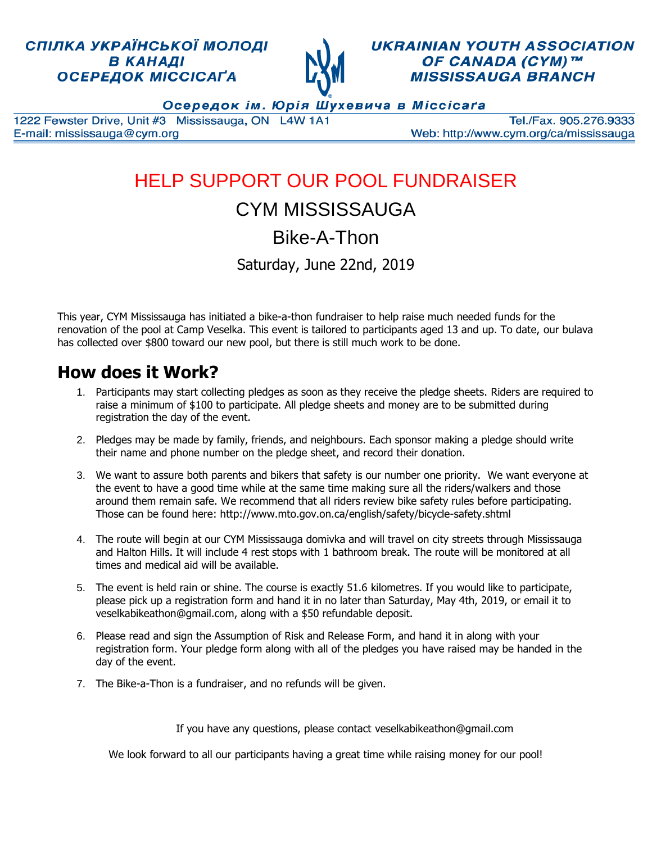### СПІЛКА УКРАЇНСЬКОЇ МОЛОДІ В КАНАДІ ОСЕРЕДОК МІССІСАҐА



**UKRAINIAN YOUTH ASSOCIATION** OF CANADA (CYM)™ **MISSISSAUGA BRANCH** 

Осередок ім. Юрія Шухевича в Міссісаґа

1222 Fewster Drive, Unit #3 Mississauga, ON L4W 1A1 E-mail: mississauga@cym.org

Tel./Fax. 905.276.9333 Web: http://www.cym.org/ca/mississauga

# HELP SUPPORT OUR POOL FUNDRAISER

## CYM MISSISSAUGA

Bike-A-Thon

Saturday, June 22nd, 2019

This year, CYM Mississauga has initiated a bike-a-thon fundraiser to help raise much needed funds for the renovation of the pool at Camp Veselka. This event is tailored to participants aged 13 and up. To date, our bulava has collected over \$800 toward our new pool, but there is still much work to be done.

## **How does it Work?**

- 1. Participants may start collecting pledges as soon as they receive the pledge sheets. Riders are required to raise a minimum of \$100 to participate. All pledge sheets and money are to be submitted during registration the day of the event.
- 2. Pledges may be made by family, friends, and neighbours. Each sponsor making a pledge should write their name and phone number on the pledge sheet, and record their donation.
- 3. We want to assure both parents and bikers that safety is our number one priority. We want everyone at the event to have a good time while at the same time making sure all the riders/walkers and those around them remain safe. We recommend that all riders review bike safety rules before participating. Those can be found here: http://www.mto.gov.on.ca/english/safety/bicycle-safety.shtml
- 4. The route will begin at our CYM Mississauga domivka and will travel on city streets through Mississauga and Halton Hills. It will include 4 rest stops with 1 bathroom break. The route will be monitored at all times and medical aid will be available.
- 5. The event is held rain or shine. The course is exactly 51.6 kilometres. If you would like to participate, please pick up a registration form and hand it in no later than Saturday, May 4th, 2019, or email it to veselkabikeathon@gmail.com, along with a \$50 refundable deposit.
- 6. Please read and sign the Assumption of Risk and Release Form, and hand it in along with your registration form. Your pledge form along with all of the pledges you have raised may be handed in the day of the event.
- 7. The Bike-a-Thon is a fundraiser, and no refunds will be given.

If you have any questions, please contact veselkabikeathon@gmail.com

We look forward to all our participants having a great time while raising money for our pool!